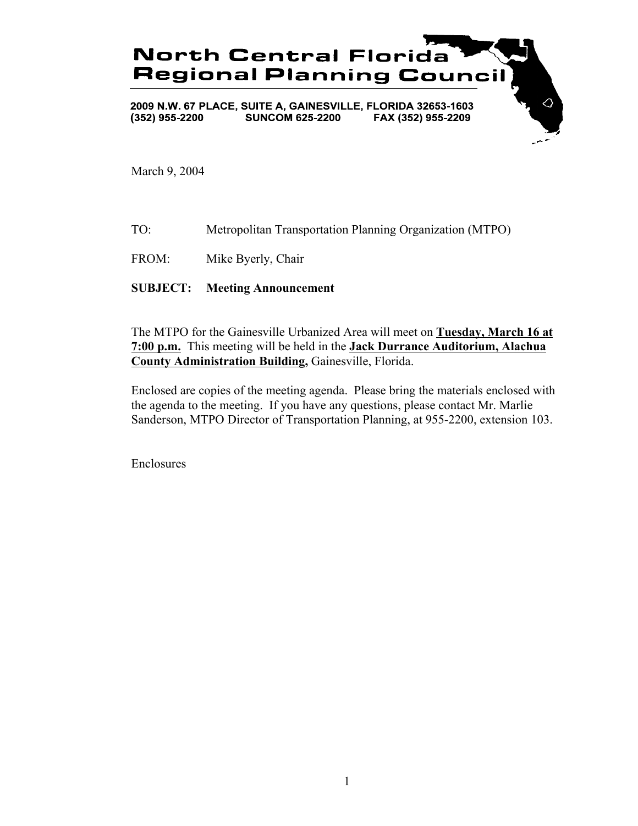

March 9, 2004

TO: Metropolitan Transportation Planning Organization (MTPO)

FROM: Mike Byerly, Chair

**SUBJECT: Meeting Announcement**

The MTPO for the Gainesville Urbanized Area will meet on **Tuesday, March 16 at 7:00 p.m.** This meeting will be held in the **Jack Durrance Auditorium, Alachua County Administration Building,** Gainesville, Florida.

Enclosed are copies of the meeting agenda. Please bring the materials enclosed with the agenda to the meeting. If you have any questions, please contact Mr. Marlie Sanderson, MTPO Director of Transportation Planning, at 955-2200, extension 103.

Enclosures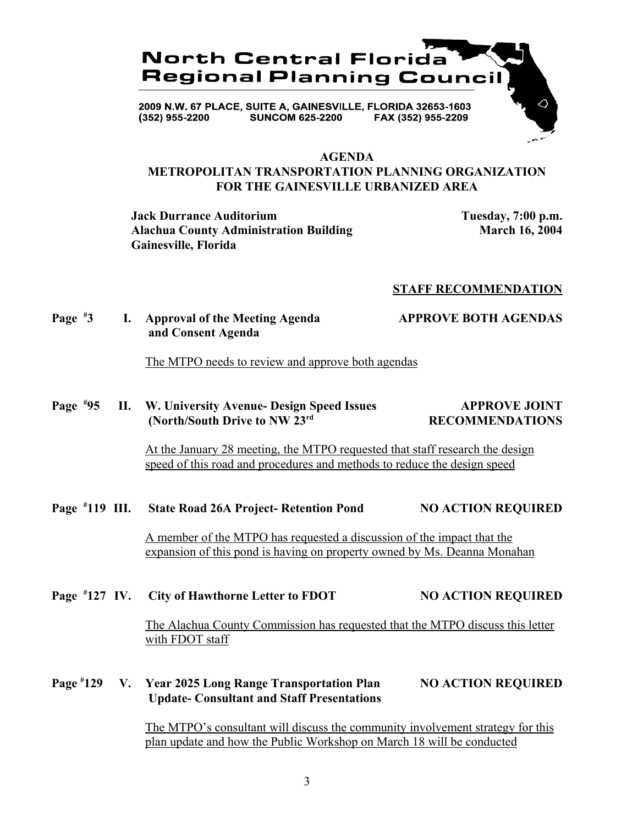

#### **AGENDA**

## **METROPOLITAN TRANSPORTATION PLANNING ORGANIZATION FOR THE GAINESVILLE URBANIZED AREA**

**Jack Durrance Auditorium Tuesday, 7:00 p.m. Alachua County Administration Building March 16, 2004 Gainesville, Florida**

#### **STAFF RECOMMENDATION**

**Page # 3 I. Approval of the Meeting Agenda APPROVE BOTH AGENDAS and Consent Agenda**

The MTPO needs to review and approve both agendas

#### **Page # 11. W. University Avenue- Design Speed Issues APPROVE JOINT (North/South Drive to NW 23<sup>rd</sup> RECOMMENDATIONS**

At the January 28 meeting, the MTPO requested that staff research the design speed of this road and procedures and methods to reduce the design speed

#### **Page # 119 III. State Road 26A Project- Retention Pond NO ACTION REQUIRED**

A member of the MTPO has requested a discussion of the impact that the expansion of this pond is having on property owned by Ms. Deanna Monahan

#### **Page # 127 IV. City of Hawthorne Letter to FDOT NO ACTION REQUIRED**

The Alachua County Commission has requested that the MTPO discuss this letter with FDOT staff

#### **Page # 129 V. Year 2025 Long Range Transportation Plan NO ACTION REQUIRED Update- Consultant and Staff Presentations**

The MTPO's consultant will discuss the community involvement strategy for this plan update and how the Public Workshop on March 18 will be conducted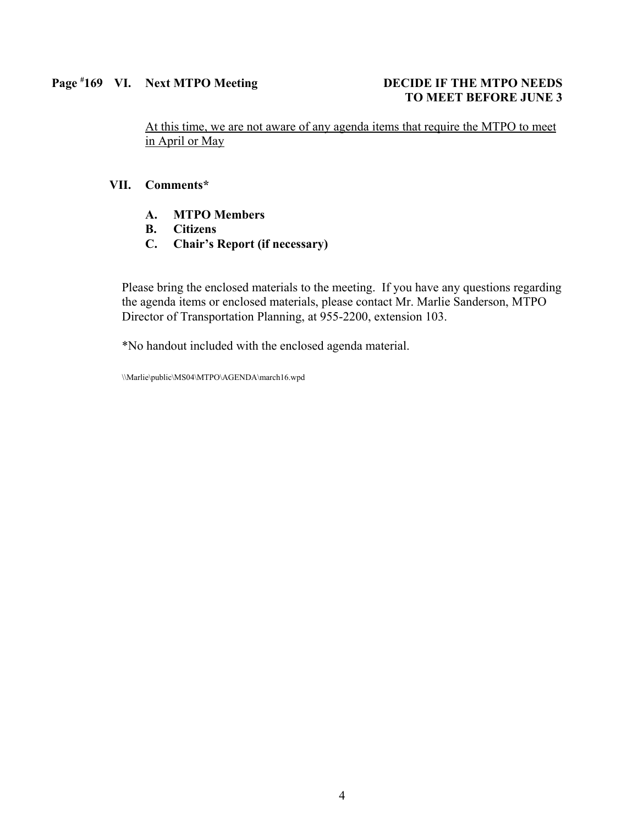### Page #169 VI. Next MTPO Meeting DECIDE IF THE MTPO NEEDS

# **TO MEET BEFORE JUNE 3**

At this time, we are not aware of any agenda items that require the MTPO to meet in April or May

#### **VII. Comments\***

- **A. MTPO Members**
- **B. Citizens**
- **C. Chair's Report (if necessary)**

Please bring the enclosed materials to the meeting. If you have any questions regarding the agenda items or enclosed materials, please contact Mr. Marlie Sanderson, MTPO Director of Transportation Planning, at 955-2200, extension 103.

\*No handout included with the enclosed agenda material.

\\Marlie\public\MS04\MTPO\AGENDA\march16.wpd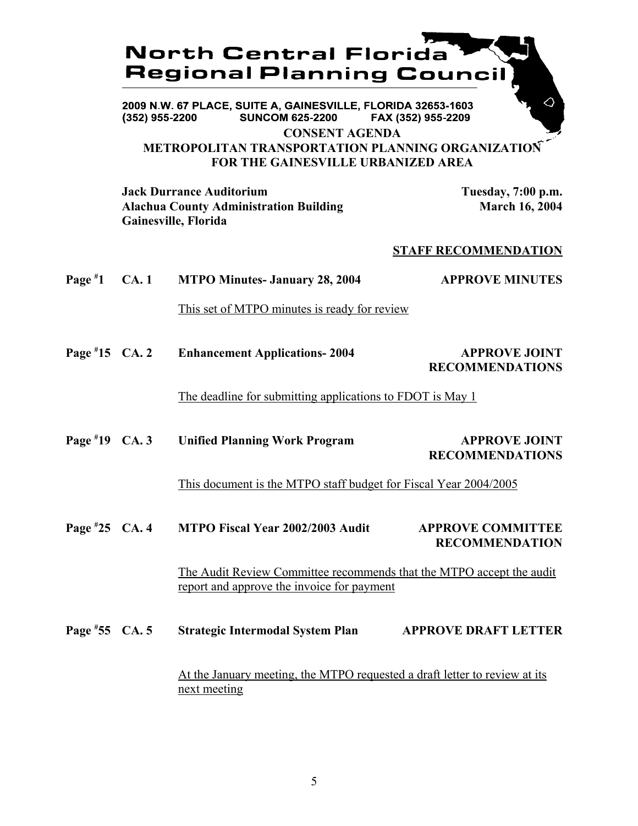## **North Central Florida Regional Planning Counci**

2009 N.W. 67 PLACE, SUITE A, GAINESVILLE, FLORIDA 32653-1603 **SUNCOM 625-2200**  $(352)$  955-2200 FAX (352) 955-2209

**CONSENT AGENDA**

## **METROPOLITAN TRANSPORTATION PLANNING ORGANIZATION FOR THE GAINESVILLE URBANIZED AREA**

**Jack Durrance Auditorium Tuesday, 7:00 p.m.** Alachua County Administration Building March 16, 2004 **Gainesville, Florida**

## **STAFF RECOMMENDATION**

| Page $*1$       | CA.1 | <b>MTPO Minutes- January 28, 2004</b>                                                                              | <b>APPROVE MINUTES</b>                                    |  |
|-----------------|------|--------------------------------------------------------------------------------------------------------------------|-----------------------------------------------------------|--|
|                 |      | This set of MTPO minutes is ready for review                                                                       |                                                           |  |
| Page #15 $CA.2$ |      | <b>Enhancement Applications-2004</b>                                                                               | <b>APPROVE JOINT</b><br><b>RECOMMENDATIONS</b>            |  |
|                 |      |                                                                                                                    | The deadline for submitting applications to FDOT is May 1 |  |
| Page #19 $CA.3$ |      | <b>Unified Planning Work Program</b>                                                                               | <b>APPROVE JOINT</b><br><b>RECOMMENDATIONS</b>            |  |
|                 |      | This document is the MTPO staff budget for Fiscal Year 2004/2005                                                   |                                                           |  |
| Page #25 CA. 4  |      | MTPO Fiscal Year 2002/2003 Audit                                                                                   | <b>APPROVE COMMITTEE</b><br><b>RECOMMENDATION</b>         |  |
|                 |      | The Audit Review Committee recommends that the MTPO accept the audit<br>report and approve the invoice for payment |                                                           |  |
| Page #55 CA. 5  |      | <b>Strategic Intermodal System Plan</b>                                                                            | <b>APPROVE DRAFT LETTER</b>                               |  |
|                 |      | At the January meeting, the MTPO requested a draft letter to review at its<br>next meeting                         |                                                           |  |